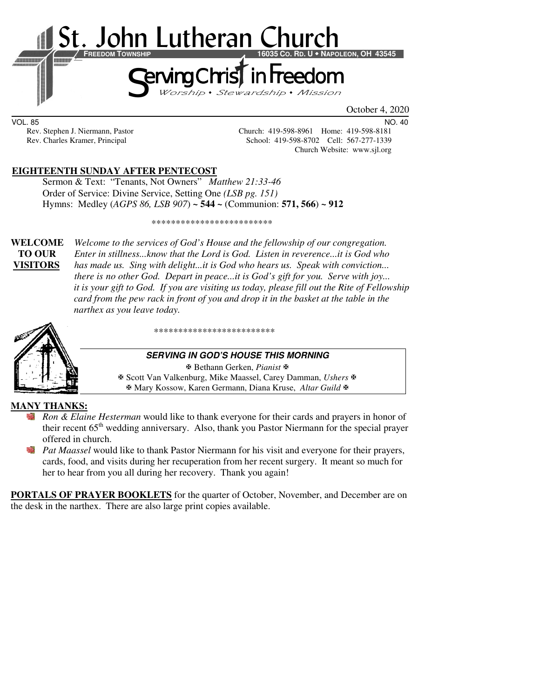

VOL. 85 NO. 40

Rev. Stephen J. Niermann, Pastor Church: 419-598-8961 Home: 419-598-8181<br>Rev. Charles Kramer, Principal School: 419-598-8702 Cell: 567-277-1339 School: 419-598-8702 Cell: 567-277-1339 Church Website: www.sjl.org

### **EIGHTEENTH SUNDAY AFTER PENTECOST**

 Sermon & Text: "Tenants, Not Owners" *Matthew 21:33-46* Order of Service: Divine Service, Setting One *(LSB pg. 151)* Hymns: Medley (*AGPS 86, LSB 907*) **~ 544 ~** (Communion: **571, 566**) **~ 912**

\*\*\*\*\*\*\*\*\*\*\*\*\*\*\*\*\*\*\*\*\*\*\*\*\*

**WELCOME** *Welcome to the services of God's House and the fellowship of our congregation.* **TO OUR** *Enter in stillness...know that the Lord is God. Listen in reverence...it is God who*  **VISITORS** *has made us. Sing with delight...it is God who hears us. Speak with conviction... there is no other God. Depart in peace...it is God's gift for you. Serve with joy... it is your gift to God. If you are visiting us today, please fill out the Rite of Fellowship card from the pew rack in front of you and drop it in the basket at the table in the narthex as you leave today.* 



\*\*\*\*\*\*\*\*\*\*\*\*\*\*\*\*\*\*\*\*\*\*\*\*\*

#### **SERVING IN GOD'S HOUSE THIS MORNING**

 Bethann Gerken, *Pianist* Scott Van Valkenburg, Mike Maassel, Carey Damman, *Ushers* Mary Kossow, Karen Germann, Diana Kruse, *Altar Guild*

#### **MANY THANKS:**

- *Ron & Elaine Hesterman* would like to thank everyone for their cards and prayers in honor of their recent 65<sup>th</sup> wedding anniversary. Also, thank you Pastor Niermann for the special prayer offered in church.
- *Pat Maassel* would like to thank Pastor Niermann for his visit and everyone for their prayers, cards, food, and visits during her recuperation from her recent surgery. It meant so much for her to hear from you all during her recovery. Thank you again!

**PORTALS OF PRAYER BOOKLETS** for the quarter of October, November, and December are on the desk in the narthex. There are also large print copies available.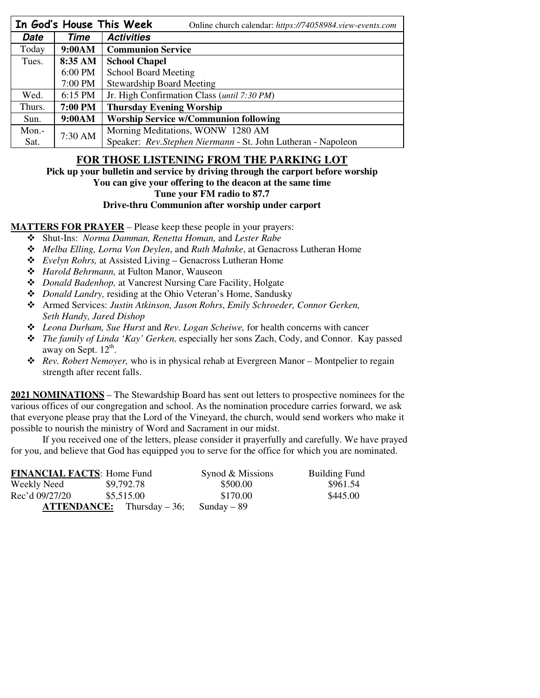|        |                | In God's House This Week<br>Online church calendar: https://74058984.view-events.com |  |  |
|--------|----------------|--------------------------------------------------------------------------------------|--|--|
| Date   | Time           | <b>Activities</b>                                                                    |  |  |
| Today  | 9:00AM         | <b>Communion Service</b>                                                             |  |  |
| Tues.  | 8:35 AM        | <b>School Chapel</b>                                                                 |  |  |
|        | 6:00 PM        | <b>School Board Meeting</b>                                                          |  |  |
|        | 7:00 PM        | <b>Stewardship Board Meeting</b>                                                     |  |  |
| Wed.   | 6:15 PM        | Jr. High Confirmation Class (until 7:30 PM)                                          |  |  |
| Thurs. | <b>7:00 PM</b> | <b>Thursday Evening Worship</b>                                                      |  |  |
| Sun.   | 9:00AM         | <b>Worship Service w/Communion following</b>                                         |  |  |
| Mon.-  | 7:30 AM        | Morning Meditations, WONW 1280 AM                                                    |  |  |
| Sat.   |                | Speaker: Rev.Stephen Niermann - St. John Lutheran - Napoleon                         |  |  |

# **FOR THOSE LISTENING FROM THE PARKING LOT**

**Pick up your bulletin and service by driving through the carport before worship** 

**You can give your offering to the deacon at the same time** 

# **Tune your FM radio to 87.7**

#### **Drive-thru Communion after worship under carport**

**MATTERS FOR PRAYER** – Please keep these people in your prayers:

- Shut-Ins: *Norma Damman, Renetta Homan,* and *Lester Rabe*
- *Melba Elling, Lorna Von Deylen*, and *Ruth Mahnke*, at Genacross Lutheran Home
- *Evelyn Rohrs,* at Assisted Living Genacross Lutheran Home
- *Harold Behrmann,* at Fulton Manor, Wauseon
- *Donald Badenhop,* at Vancrest Nursing Care Facility, Holgate
- *Donald Landry,* residing at the Ohio Veteran's Home, Sandusky
- Armed Services: *Justin Atkinson, Jason Rohrs*, *Emily Schroeder, Connor Gerken, Seth Handy, Jared Dishop*
- *Leona Durham, Sue Hurst* and *Rev. Logan Scheiwe,* for health concerns with cancer
- *The family of Linda 'Kay' Gerken,* especially her sons Zach, Cody, and Connor. Kay passed away on Sept.  $12^{th}$ .
- *Rev. Robert Nemoyer,* who is in physical rehab at Evergreen Manor Montpelier to regain strength after recent falls.

**2021 NOMINATIONS** – The Stewardship Board has sent out letters to prospective nominees for the various offices of our congregation and school. As the nomination procedure carries forward, we ask that everyone please pray that the Lord of the Vineyard, the church, would send workers who make it possible to nourish the ministry of Word and Sacrament in our midst.

If you received one of the letters, please consider it prayerfully and carefully. We have prayed for you, and believe that God has equipped you to serve for the office for which you are nominated.

| <b>FINANCIAL FACTS: Home Fund</b> |                                       | Synod & Missions | <b>Building Fund</b> |
|-----------------------------------|---------------------------------------|------------------|----------------------|
| Weekly Need                       | \$9,792.78                            | \$500.00         | \$961.54             |
| Rec'd 09/27/20                    | \$5,515.00                            | \$170.00         | \$445.00             |
|                                   | $\textbf{ATTENDANCE:}$ Thursday – 36; | Sunday $-89$     |                      |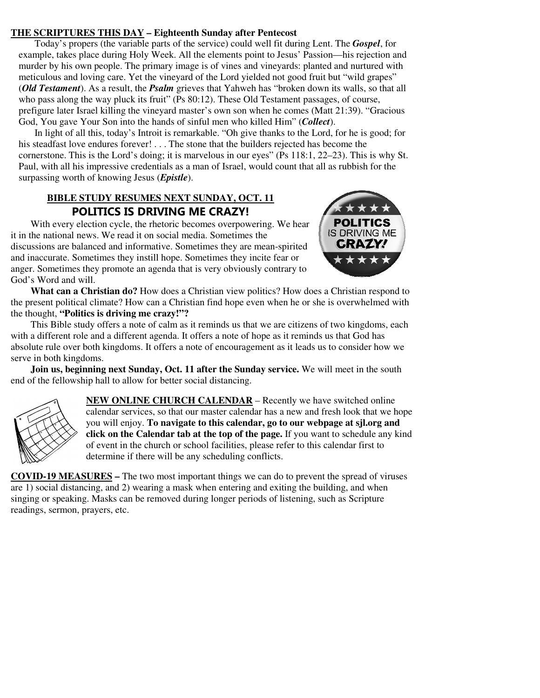### **THE SCRIPTURES THIS DAY – Eighteenth Sunday after Pentecost**

Today's propers (the variable parts of the service) could well fit during Lent. The *Gospel*, for example, takes place during Holy Week. All the elements point to Jesus' Passion—his rejection and murder by his own people. The primary image is of vines and vineyards: planted and nurtured with meticulous and loving care. Yet the vineyard of the Lord yielded not good fruit but "wild grapes" (*Old Testament*). As a result, the *Psalm* grieves that Yahweh has "broken down its walls, so that all who pass along the way pluck its fruit" (Ps 80:12). These Old Testament passages, of course, prefigure later Israel killing the vineyard master's own son when he comes (Matt 21:39). "Gracious God, You gave Your Son into the hands of sinful men who killed Him" (*Collect*).

In light of all this, today's Introit is remarkable. "Oh give thanks to the Lord, for he is good; for his steadfast love endures forever! . . . The stone that the builders rejected has become the cornerstone. This is the Lord's doing; it is marvelous in our eyes" (Ps 118:1, 22–23). This is why St. Paul, with all his impressive credentials as a man of Israel, would count that all as rubbish for the surpassing worth of knowing Jesus (*Epistle*).

# **BIBLE STUDY RESUMES NEXT SUNDAY, OCT. 11 POLITICS IS DRIVING ME CRAZY!**

With every election cycle, the rhetoric becomes overpowering. We hear it in the national news. We read it on social media. Sometimes the discussions are balanced and informative. Sometimes they are mean-spirited and inaccurate. Sometimes they instill hope. Sometimes they incite fear or anger. Sometimes they promote an agenda that is very obviously contrary to God's Word and will.



**What can a Christian do?** How does a Christian view politics? How does a Christian respond to the present political climate? How can a Christian find hope even when he or she is overwhelmed with the thought, **"Politics is driving me crazy!"?**

This Bible study offers a note of calm as it reminds us that we are citizens of two kingdoms, each with a different role and a different agenda. It offers a note of hope as it reminds us that God has absolute rule over both kingdoms. It offers a note of encouragement as it leads us to consider how we serve in both kingdoms.

**Join us, beginning next Sunday, Oct. 11 after the Sunday service.** We will meet in the south end of the fellowship hall to allow for better social distancing.



**NEW ONLINE CHURCH CALENDAR** – Recently we have switched online calendar services, so that our master calendar has a new and fresh look that we hope you will enjoy. **To navigate to this calendar, go to our webpage at sjl.org and click on the Calendar tab at the top of the page.** If you want to schedule any kind of event in the church or school facilities, please refer to this calendar first to determine if there will be any scheduling conflicts.

**COVID-19 MEASURES –** The two most important things we can do to prevent the spread of viruses are 1) social distancing, and 2) wearing a mask when entering and exiting the building, and when singing or speaking. Masks can be removed during longer periods of listening, such as Scripture readings, sermon, prayers, etc.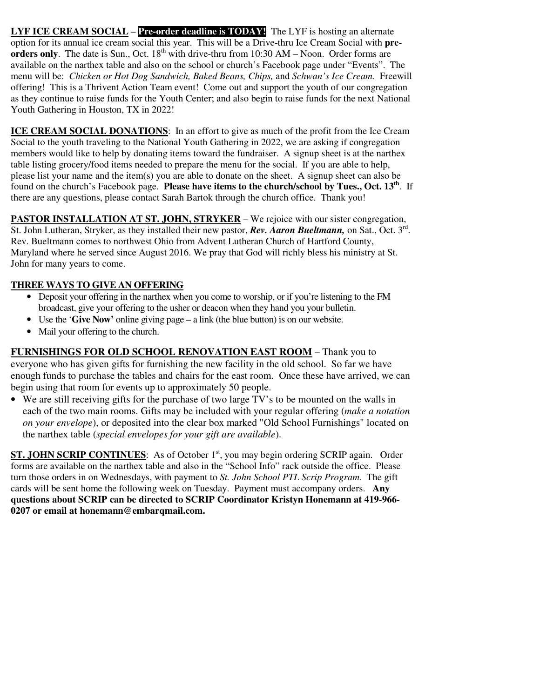**LYF ICE CREAM SOCIAL – Pre-order deadline is <b>TODAY!** The LYF is hosting an alternate option for its annual ice cream social this year. This will be a Drive-thru Ice Cream Social with **preorders only**. The date is Sun., Oct.  $18<sup>th</sup>$  with drive-thru from 10:30 AM – Noon. Order forms are available on the narthex table and also on the school or church's Facebook page under "Events". The menu will be: *Chicken or Hot Dog Sandwich, Baked Beans, Chips,* and *Schwan's Ice Cream.* Freewill offering! This is a Thrivent Action Team event! Come out and support the youth of our congregation as they continue to raise funds for the Youth Center; and also begin to raise funds for the next National Youth Gathering in Houston, TX in 2022!

**ICE CREAM SOCIAL DONATIONS**: In an effort to give as much of the profit from the Ice Cream Social to the youth traveling to the National Youth Gathering in 2022, we are asking if congregation members would like to help by donating items toward the fundraiser. A signup sheet is at the narthex table listing grocery/food items needed to prepare the menu for the social. If you are able to help, please list your name and the item(s) you are able to donate on the sheet. A signup sheet can also be found on the church's Facebook page. **Please have items to the church/school by Tues., Oct. 13th**. If there are any questions, please contact Sarah Bartok through the church office. Thank you!

**PASTOR INSTALLATION AT ST. JOHN, STRYKER** – We rejoice with our sister congregation, St. John Lutheran, Stryker, as they installed their new pastor, *Rev. Aaron Bueltmann*, on Sat., Oct. 3<sup>rd</sup>. Rev. Bueltmann comes to northwest Ohio from Advent Lutheran Church of Hartford County, Maryland where he served since August 2016. We pray that God will richly bless his ministry at St. John for many years to come.

# **THREE WAYS TO GIVE AN OFFERING**

- Deposit your offering in the narthex when you come to worship, or if you're listening to the FM broadcast, give your offering to the usher or deacon when they hand you your bulletin.
- Use the '**Give Now'** online giving page a link (the blue button) is on our website.
- Mail your offering to the church.

**FURNISHINGS FOR OLD SCHOOL RENOVATION EAST ROOM** – Thank you to everyone who has given gifts for furnishing the new facility in the old school. So far we have enough funds to purchase the tables and chairs for the east room. Once these have arrived, we can begin using that room for events up to approximately 50 people.

• We are still receiving gifts for the purchase of two large TV's to be mounted on the walls in each of the two main rooms. Gifts may be included with your regular offering (*make a notation on your envelope*), or deposited into the clear box marked "Old School Furnishings" located on the narthex table (*special envelopes for your gift are available*).

**ST. JOHN SCRIP CONTINUES**: As of October 1<sup>st</sup>, you may begin ordering SCRIP again. Order forms are available on the narthex table and also in the "School Info" rack outside the office. Please turn those orders in on Wednesdays, with payment to *St. John School PTL Scrip Program*. The gift cards will be sent home the following week on Tuesday. Payment must accompany orders. **Any questions about SCRIP can be directed to SCRIP Coordinator Kristyn Honemann at 419-966- 0207 or email at honemann@embarqmail.com.**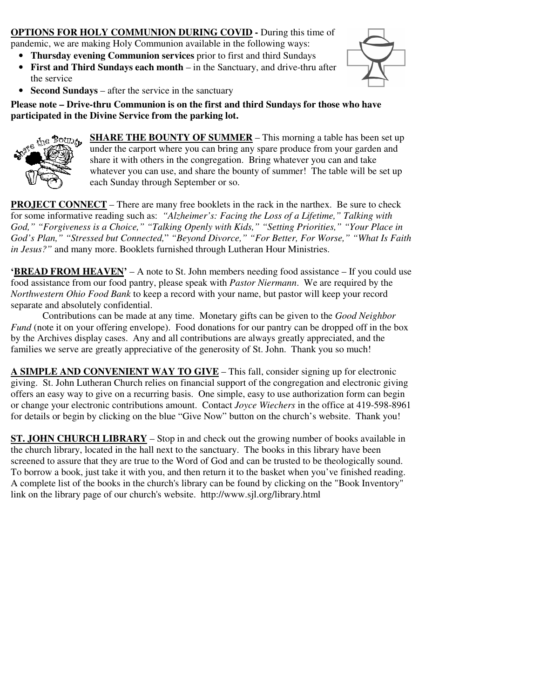**OPTIONS FOR HOLY COMMUNION DURING COVID -** During this time of

pandemic, we are making Holy Communion available in the following ways:

- **Thursday evening Communion services** prior to first and third Sundays
- **First and Third Sundays each month** in the Sanctuary, and drive-thru after the service



• **Second Sundays** – after the service in the sanctuary

**Please note – Drive-thru Communion is on the first and third Sundays for those who have participated in the Divine Service from the parking lot.** 



**SHARE THE BOUNTY OF SUMMER** – This morning a table has been set up under the carport where you can bring any spare produce from your garden and share it with others in the congregation. Bring whatever you can and take whatever you can use, and share the bounty of summer! The table will be set up each Sunday through September or so.

**PROJECT CONNECT** – There are many free booklets in the rack in the narthex. Be sure to check for some informative reading such as: *"Alzheimer's: Facing the Loss of a Lifetime," Talking with God," "Forgiveness is a Choice," "Talking Openly with Kids," "Setting Priorities," "Your Place in God's Plan," "Stressed but Connected,*" *"Beyond Divorce," "For Better, For Worse," "What Is Faith in Jesus?"* and many more. Booklets furnished through Lutheran Hour Ministries.

**'BREAD FROM HEAVEN'** – A note to St. John members needing food assistance – If you could use food assistance from our food pantry, please speak with *Pastor Niermann*. We are required by the *Northwestern Ohio Food Bank* to keep a record with your name, but pastor will keep your record separate and absolutely confidential.

Contributions can be made at any time. Monetary gifts can be given to the *Good Neighbor Fund* (note it on your offering envelope). Food donations for our pantry can be dropped off in the box by the Archives display cases. Any and all contributions are always greatly appreciated, and the families we serve are greatly appreciative of the generosity of St. John. Thank you so much!

**A SIMPLE AND CONVENIENT WAY TO GIVE** – This fall, consider signing up for electronic giving. St. John Lutheran Church relies on financial support of the congregation and electronic giving offers an easy way to give on a recurring basis. One simple, easy to use authorization form can begin or change your electronic contributions amount. Contact *Joyce Wiechers* in the office at 419-598-8961 for details or begin by clicking on the blue "Give Now" button on the church's website. Thank you!

**ST. JOHN CHURCH LIBRARY** – Stop in and check out the growing number of books available in the church library, located in the hall next to the sanctuary. The books in this library have been screened to assure that they are true to the Word of God and can be trusted to be theologically sound. To borrow a book, just take it with you, and then return it to the basket when you've finished reading. A complete list of the books in the church's library can be found by clicking on the "Book Inventory" link on the library page of our church's website. http://www.sjl.org/library.html